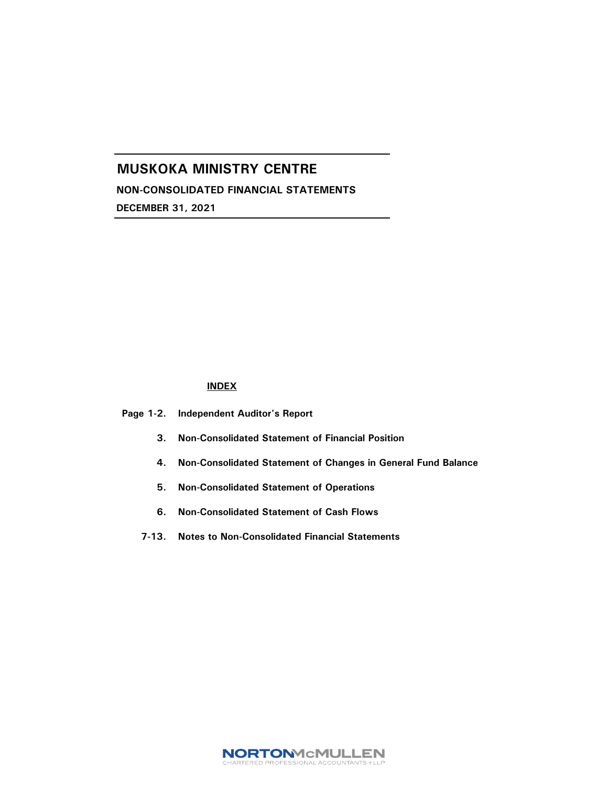NON-CONSOLIDATED FINANCIAL STATEMENTS

DECEMBER 31, 2021

#### INDEX

Page 1-2. Independent Auditor's Report

- 3. Non-Consolidated Statement of Financial Position
- 4. Non-Consolidated Statement of Changes in General Fund Balance
- 5. Non-Consolidated Statement of Operations
- 6. Non-Consolidated Statement of Cash Flows
- 7-13. Notes to Non-Consolidated Financial Statements

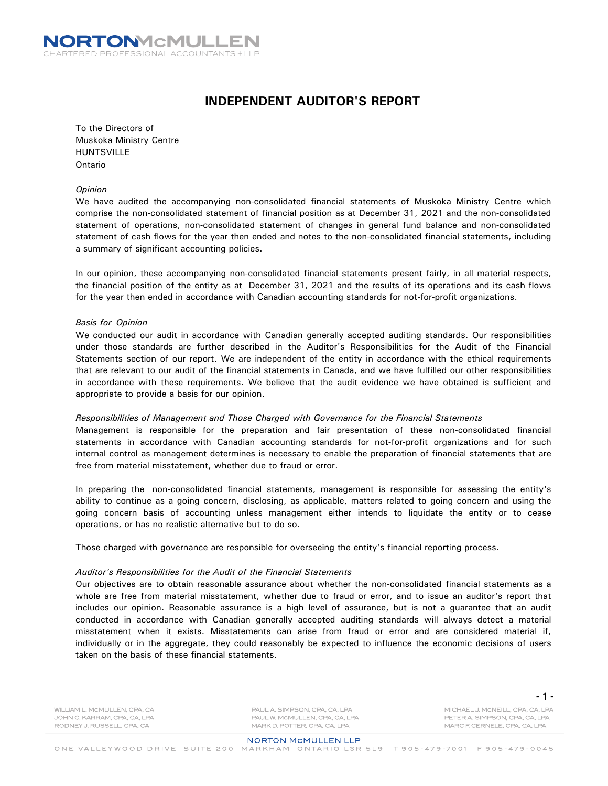

### INDEPENDENT AUDITOR'S REPORT

To the Directors of Muskoka Ministry Centre HUNTSVILLE Ontario

#### Opinion

We have audited the accompanying non-consolidated financial statements of Muskoka Ministry Centre which comprise the non-consolidated statement of financial position as at December 31, 2021 and the non-consolidated statement of operations, non-consolidated statement of changes in general fund balance and non-consolidated statement of cash flows for the year then ended and notes to the non-consolidated financial statements, including a summary of significant accounting policies.

In our opinion, these accompanying non-consolidated financial statements present fairly, in all material respects, the financial position of the entity as at December 31, 2021 and the results of its operations and its cash flows for the year then ended in accordance with Canadian accounting standards for not-for-profit organizations.

#### Basis for Opinion

We conducted our audit in accordance with Canadian generally accepted auditing standards. Our responsibilities under those standards are further described in the Auditor's Responsibilities for the Audit of the Financial Statements section of our report. We are independent of the entity in accordance with the ethical requirements that are relevant to our audit of the financial statements in Canada, and we have fulfilled our other responsibilities in accordance with these requirements. We believe that the audit evidence we have obtained is sufficient and appropriate to provide a basis for our opinion.

#### Responsibilities of Management and Those Charged with Governance for the Financial Statements

Management is responsible for the preparation and fair presentation of these non-consolidated financial statements in accordance with Canadian accounting standards for not-for-profit organizations and for such internal control as management determines is necessary to enable the preparation of financial statements that are free from material misstatement, whether due to fraud or error.

In preparing the non-consolidated financial statements, management is responsible for assessing the entity's ability to continue as a going concern, disclosing, as applicable, matters related to going concern and using the going concern basis of accounting unless management either intends to liquidate the entity or to cease operations, or has no realistic alternative but to do so.

Those charged with governance are responsible for overseeing the entity's financial reporting process.

#### Auditor's Responsibilities for the Audit of the Financial Statements

Our objectives are to obtain reasonable assurance about whether the non-consolidated financial statements as a whole are free from material misstatement, whether due to fraud or error, and to issue an auditor's report that includes our opinion. Reasonable assurance is a high level of assurance, but is not a guarantee that an audit conducted in accordance with Canadian generally accepted auditing standards will always detect a material misstatement when it exists. Misstatements can arise from fraud or error and are considered material if, individually or in the aggregate, they could reasonably be expected to influence the economic decisions of users taken on the basis of these financial statements.

PAUL A. SIMPSON, CPA, CA, LPA PAUL W. MCMULLEN, CPA, CA, LPA MARK D. POTTER, CPA, CA, LPA

MICHAEL J. MCNEILL, CPA, CA, LPA PETER A. SIMPSON, CPA, CA, LPA MARC F. CERNELE, CPA, CA, LPA

#### **NORTON MCMULLEN LLP**

**- 1 -**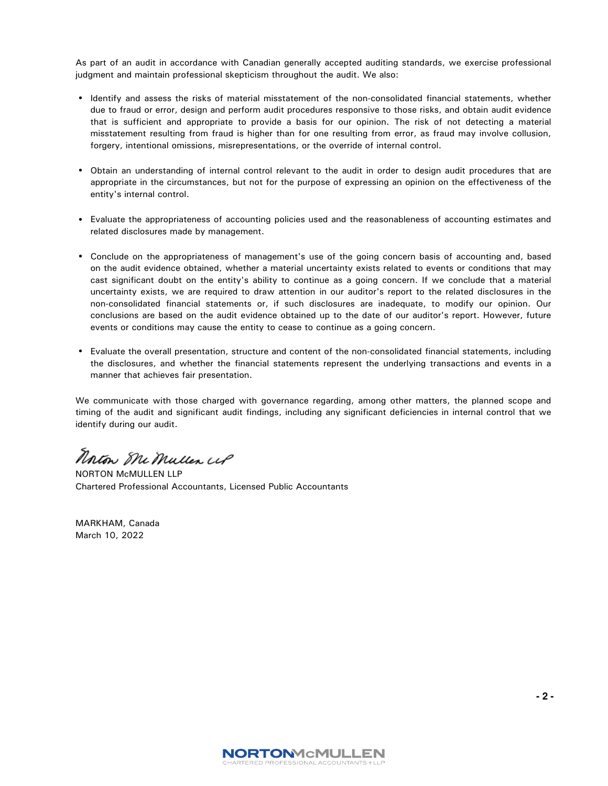As part of an audit in accordance with Canadian generally accepted auditing standards, we exercise professional judgment and maintain professional skepticism throughout the audit. We also:

- Identify and assess the risks of material misstatement of the non-consolidated financial statements, whether due to fraud or error, design and perform audit procedures responsive to those risks, and obtain audit evidence that is sufficient and appropriate to provide a basis for our opinion. The risk of not detecting a material misstatement resulting from fraud is higher than for one resulting from error, as fraud may involve collusion, forgery, intentional omissions, misrepresentations, or the override of internal control.
- Obtain an understanding of internal control relevant to the audit in order to design audit procedures that are appropriate in the circumstances, but not for the purpose of expressing an opinion on the effectiveness of the entity's internal control.
- Evaluate the appropriateness of accounting policies used and the reasonableness of accounting estimates and related disclosures made by management.
- Conclude on the appropriateness of management's use of the going concern basis of accounting and, based on the audit evidence obtained, whether a material uncertainty exists related to events or conditions that may cast significant doubt on the entity's ability to continue as a going concern. If we conclude that a material uncertainty exists, we are required to draw attention in our auditor's report to the related disclosures in the non-consolidated financial statements or, if such disclosures are inadequate, to modify our opinion. Our conclusions are based on the audit evidence obtained up to the date of our auditor's report. However, future events or conditions may cause the entity to cease to continue as a going concern.
- Evaluate the overall presentation, structure and content of the non-consolidated financial statements, including the disclosures, and whether the financial statements represent the underlying transactions and events in a manner that achieves fair presentation.

We communicate with those charged with governance regarding, among other matters, the planned scope and timing of the audit and significant audit findings, including any significant deficiencies in internal control that we identify during our audit.

Norton Mr Muller UP

Chartered Professional Accountants, Licensed Public Accountants NORTON McMULLEN LLP

MARKHAM, Canada March 10, 2022

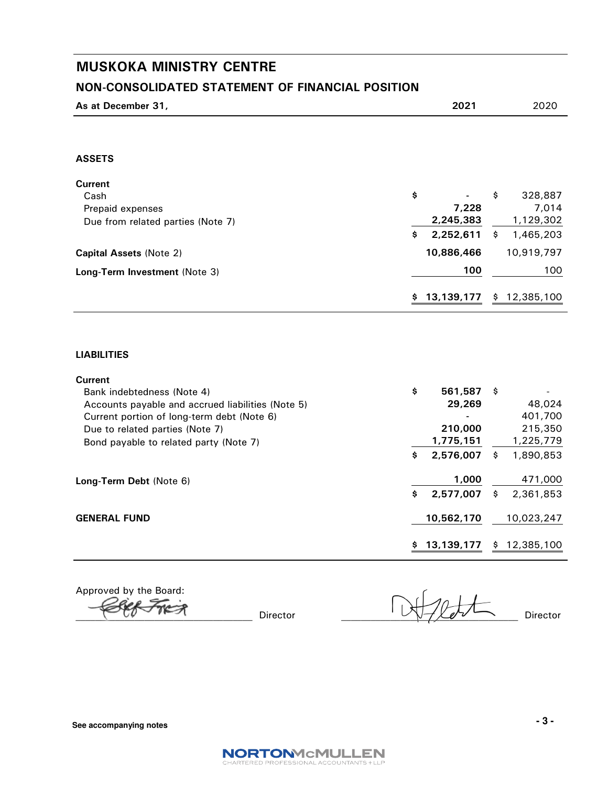### NON-CONSOLIDATED STATEMENT OF FINANCIAL POSITION

| As at December 31, | 2021 | 2020 |
|--------------------|------|------|
|                    |      |      |

#### ASSETS

| <b>Current</b>                    |                 |     |              |
|-----------------------------------|-----------------|-----|--------------|
| Cash                              | \$              | \$. | 328,887      |
| Prepaid expenses                  | 7,228           |     | 7,014        |
| Due from related parties (Note 7) | 2,245,383       |     | 1,129,302    |
|                                   | \$<br>2,252,611 | s   | 1,465,203    |
| <b>Capital Assets (Note 2)</b>    | 10,886,466      |     | 10,919,797   |
| Long-Term Investment (Note 3)     | 100             |     | 100          |
|                                   | \$13,139,177    |     | \$12,385,100 |

#### LIABILITIES

| <b>Current</b>                                    |                 |      |            |
|---------------------------------------------------|-----------------|------|------------|
| Bank indebtedness (Note 4)                        | \$<br>561,587   | - \$ |            |
| Accounts payable and accrued liabilities (Note 5) | 29,269          |      | 48,024     |
| Current portion of long-term debt (Note 6)        |                 |      | 401,700    |
| Due to related parties (Note 7)                   | 210,000         |      | 215,350    |
| Bond payable to related party (Note 7)            | 1,775,151       |      | 1,225,779  |
|                                                   | \$<br>2,576,007 | \$   | 1,890,853  |
| Long-Term Debt (Note 6)                           | 1,000           |      | 471,000    |
|                                                   | \$<br>2,577,007 | \$   | 2,361,853  |
| <b>GENERAL FUND</b>                               | 10,562,170      |      | 10,023,247 |
|                                                   | 13,139,177      | Ş.   | 12,385,100 |

Approved by the Board:

 $\Box$  Director  $\Box$  Director  $\Box$   $\Box$   $\Box$  Director  $\Box$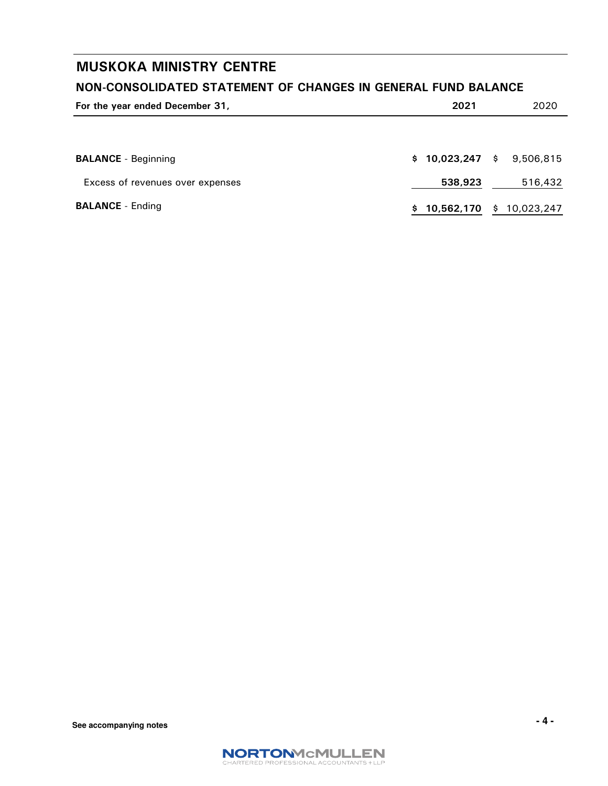### NON-CONSOLIDATED STATEMENT OF CHANGES IN GENERAL FUND BALANCE

| For the year ended December 31,  | 2021                       | 2020    |
|----------------------------------|----------------------------|---------|
|                                  |                            |         |
| <b>BALANCE</b> - Beginning       | $$10,023,247$ $$9,506,815$ |         |
| Excess of revenues over expenses | 538,923                    | 516,432 |
| <b>BALANCE</b> - Ending          | $$10,562,170 \$10,023,247$ |         |

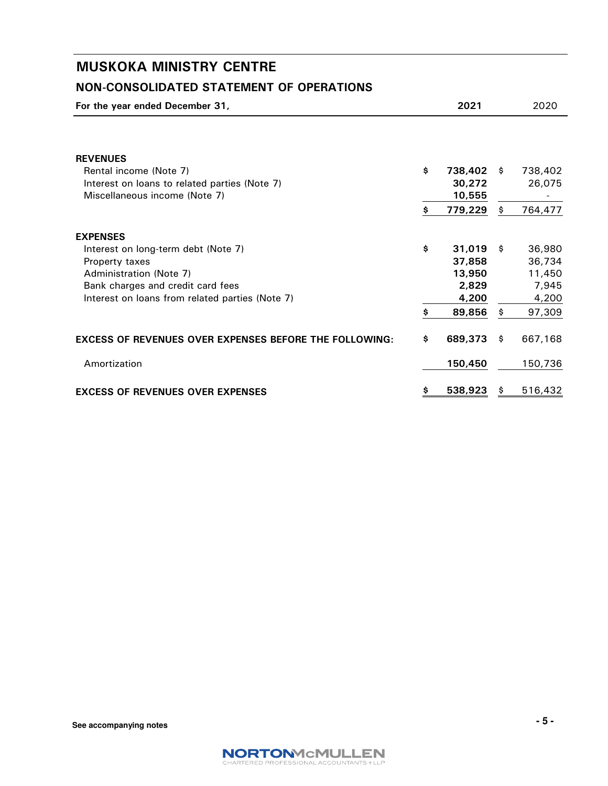### NON-CONSOLIDATED STATEMENT OF OPERATIONS

| For the year ended December 31,                               | 2021          | 2020          |
|---------------------------------------------------------------|---------------|---------------|
|                                                               |               |               |
| <b>REVENUES</b>                                               |               |               |
| Rental income (Note 7)                                        | \$<br>738,402 | \$<br>738,402 |
| Interest on loans to related parties (Note 7)                 | 30,272        | 26,075        |
| Miscellaneous income (Note 7)                                 | 10,555        |               |
|                                                               | \$<br>779,229 | \$<br>764,477 |
| <b>EXPENSES</b>                                               |               |               |
| Interest on long-term debt (Note 7)                           | \$<br>31,019  | \$<br>36,980  |
| Property taxes                                                | 37,858        | 36,734        |
| Administration (Note 7)                                       | 13,950        | 11,450        |
| Bank charges and credit card fees                             | 2,829         | 7,945         |
| Interest on loans from related parties (Note 7)               | 4,200         | 4,200         |
|                                                               | \$<br>89,856  | \$<br>97,309  |
|                                                               |               |               |
| <b>EXCESS OF REVENUES OVER EXPENSES BEFORE THE FOLLOWING:</b> | \$<br>689,373 | \$<br>667,168 |
| Amortization                                                  | 150,450       | 150,736       |
|                                                               |               |               |
| <b>EXCESS OF REVENUES OVER EXPENSES</b>                       | \$<br>538,923 | \$<br>516,432 |

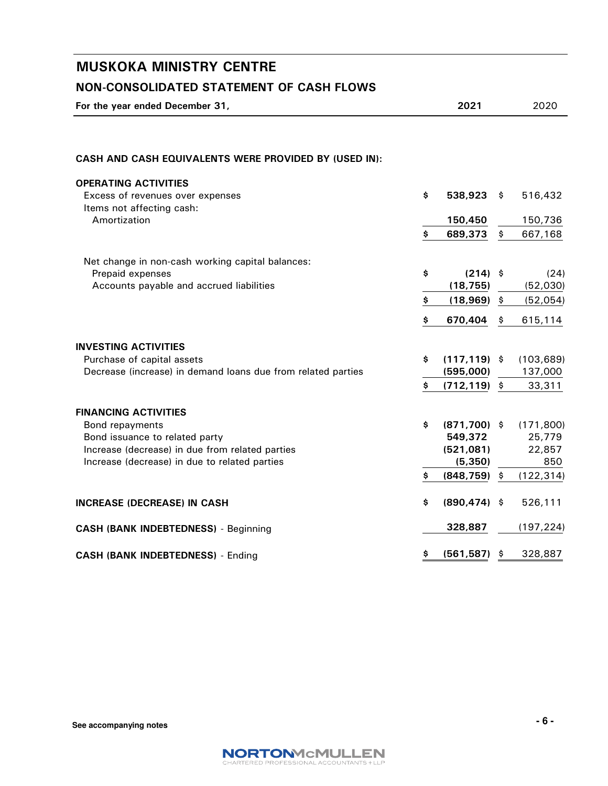### NON-CONSOLIDATED STATEMENT OF CASH FLOWS

For the year ended December 31, 2020 2021 2020

# CASH AND CASH EQUIVALENTS WERE PROVIDED BY (USED IN):

| <b>OPERATING ACTIVITIES</b>                                  |                       |                  |
|--------------------------------------------------------------|-----------------------|------------------|
| Excess of revenues over expenses                             | \$<br>538,923         | \$<br>516,432    |
| Items not affecting cash:                                    |                       |                  |
| Amortization                                                 | 150,450               | 150,736          |
|                                                              | \$<br>689,373         | \$<br>667,168    |
| Net change in non-cash working capital balances:             |                       |                  |
| Prepaid expenses                                             | \$<br>$(214)$ \$      | (24)             |
| Accounts payable and accrued liabilities                     | (18, 755)             | (52,030)         |
|                                                              | \$<br>(18, 969)       | \$<br>(52,054)   |
|                                                              | \$<br>670,404         | \$<br>615,114    |
| <b>INVESTING ACTIVITIES</b>                                  |                       |                  |
| Purchase of capital assets                                   | \$<br>$(117, 119)$ \$ | (103, 689)       |
| Decrease (increase) in demand loans due from related parties | (595,000)             | 137,000          |
|                                                              | \$<br>(712, 119)      | \$<br>33,311     |
| <b>FINANCING ACTIVITIES</b>                                  |                       |                  |
| Bond repayments                                              | \$<br>$(871,700)$ \$  | (171, 800)       |
| Bond issuance to related party                               | 549,372               | 25,779           |
| Increase (decrease) in due from related parties              | (521,081)             | 22,857           |
| Increase (decrease) in due to related parties                | (5, 350)              | 850              |
|                                                              | \$<br>(848, 759)      | \$<br>(122, 314) |
| <b>INCREASE (DECREASE) IN CASH</b>                           | \$<br>$(890, 474)$ \$ | 526,111          |
| <b>CASH (BANK INDEBTEDNESS)</b> - Beginning                  | 328,887               | (197, 224)       |
| <b>CASH (BANK INDEBTEDNESS) - Ending</b>                     | \$<br>(561, 587)      | \$<br>328,887    |

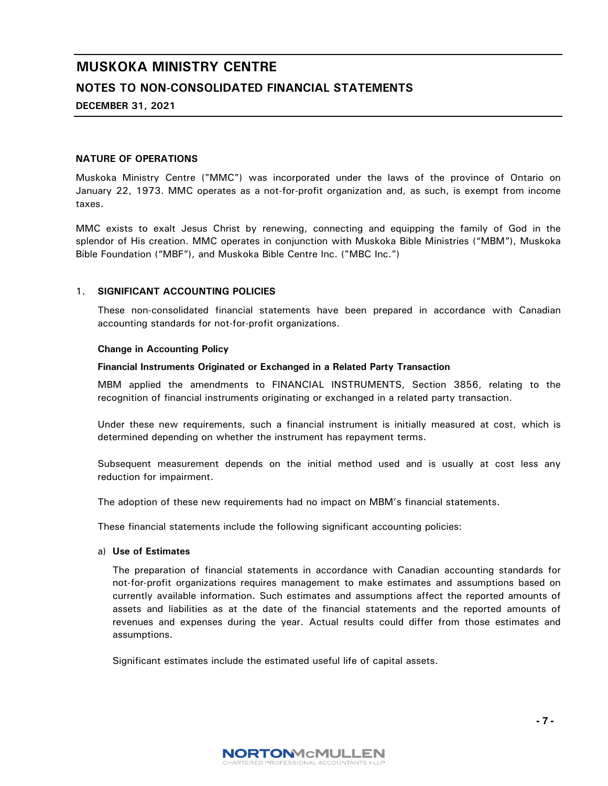### NOTES TO NON-CONSOLIDATED FINANCIAL STATEMENTS

DECEMBER 31, 2021

#### NATURE OF OPERATIONS

Muskoka Ministry Centre ("MMC") was incorporated under the laws of the province of Ontario on January 22, 1973. MMC operates as a not-for-profit organization and, as such, is exempt from income taxes.

MMC exists to exalt Jesus Christ by renewing, connecting and equipping the family of God in the splendor of His creation. MMC operates in conjunction with Muskoka Bible Ministries ("MBM"), Muskoka Bible Foundation ("MBF"), and Muskoka Bible Centre Inc. ("MBC Inc.")

#### 1. SIGNIFICANT ACCOUNTING POLICIES

These non-consolidated financial statements have been prepared in accordance with Canadian accounting standards for not-for-profit organizations.

#### Change in Accounting Policy

#### Financial Instruments Originated or Exchanged in a Related Party Transaction

MBM applied the amendments to FINANCIAL INSTRUMENTS, Section 3856, relating to the recognition of financial instruments originating or exchanged in a related party transaction.

Under these new requirements, such a financial instrument is initially measured at cost, which is determined depending on whether the instrument has repayment terms.

Subsequent measurement depends on the initial method used and is usually at cost less any reduction for impairment.

The adoption of these new requirements had no impact on MBM's financial statements.

These financial statements include the following significant accounting policies:

#### a) Use of Estimates

The preparation of financial statements in accordance with Canadian accounting standards for not-for-profit organizations requires management to make estimates and assumptions based on currently available information. Such estimates and assumptions affect the reported amounts of assets and liabilities as at the date of the financial statements and the reported amounts of revenues and expenses during the year. Actual results could differ from those estimates and assumptions.

Significant estimates include the estimated useful life of capital assets.

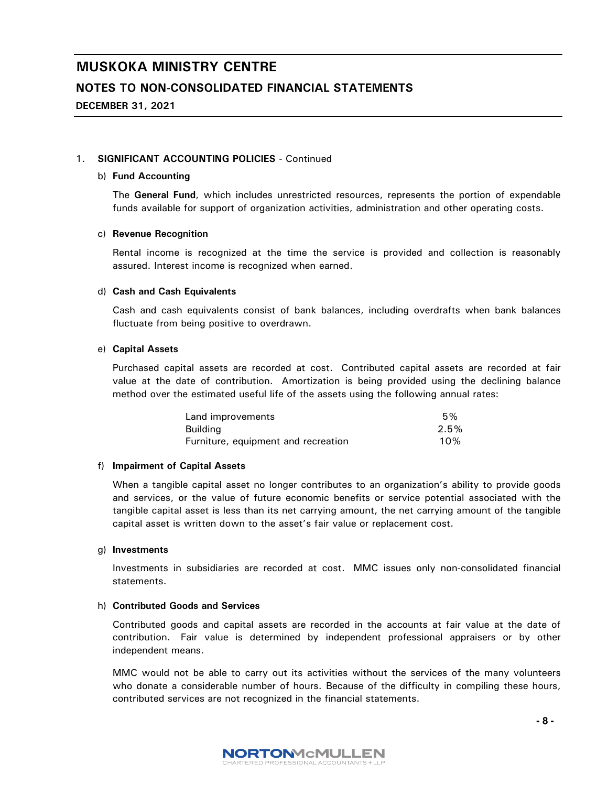### NOTES TO NON-CONSOLIDATED FINANCIAL STATEMENTS

DECEMBER 31, 2021

#### 1. SIGNIFICANT ACCOUNTING POLICIES - Continued

#### b) Fund Accounting

The General Fund, which includes unrestricted resources, represents the portion of expendable funds available for support of organization activities, administration and other operating costs.

#### c) Revenue Recognition

Rental income is recognized at the time the service is provided and collection is reasonably assured. Interest income is recognized when earned.

#### d) Cash and Cash Equivalents

Cash and cash equivalents consist of bank balances, including overdrafts when bank balances fluctuate from being positive to overdrawn.

#### e) Capital Assets

Purchased capital assets are recorded at cost. Contributed capital assets are recorded at fair value at the date of contribution. Amortization is being provided using the declining balance method over the estimated useful life of the assets using the following annual rates:

| Land improvements                   | 5%   |
|-------------------------------------|------|
| Building                            | 2.5% |
| Furniture, equipment and recreation | 10%  |

#### f) Impairment of Capital Assets

When a tangible capital asset no longer contributes to an organization's ability to provide goods and services, or the value of future economic benefits or service potential associated with the tangible capital asset is less than its net carrying amount, the net carrying amount of the tangible capital asset is written down to the asset's fair value or replacement cost.

#### g) Investments

Investments in subsidiaries are recorded at cost. MMC issues only non-consolidated financial statements.

#### h) Contributed Goods and Services

Contributed goods and capital assets are recorded in the accounts at fair value at the date of contribution. Fair value is determined by independent professional appraisers or by other independent means.

MMC would not be able to carry out its activities without the services of the many volunteers who donate a considerable number of hours. Because of the difficulty in compiling these hours, contributed services are not recognized in the financial statements.

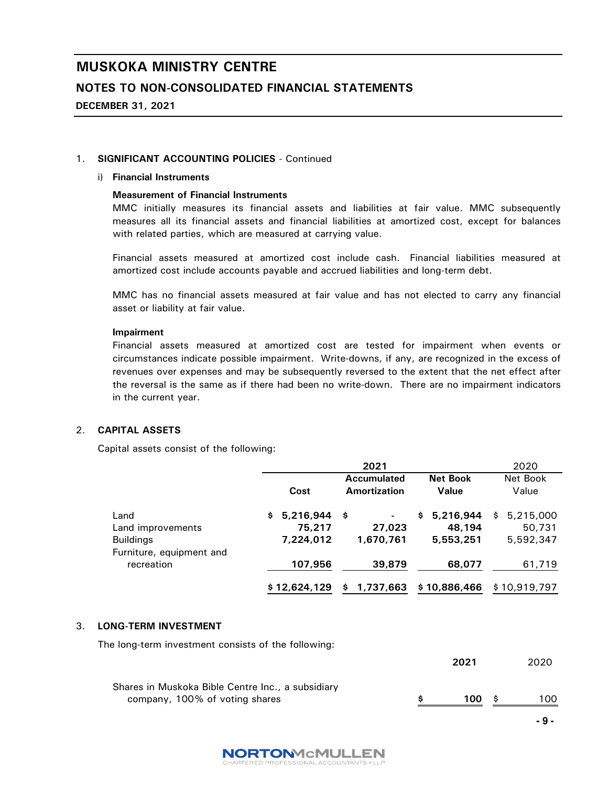### NOTES TO NON-CONSOLIDATED FINANCIAL STATEMENTS

DECEMBER 31, 2021

#### 1. SIGNIFICANT ACCOUNTING POLICIES - Continued

#### i) Financial Instruments

#### Measurement of Financial Instruments

MMC initially measures its financial assets and liabilities at fair value. MMC subsequently measures all its financial assets and financial liabilities at amortized cost, except for balances with related parties, which are measured at carrying value.

Financial assets measured at amortized cost include cash. Financial liabilities measured at amortized cost include accounts payable and accrued liabilities and long-term debt.

MMC has no financial assets measured at fair value and has not elected to carry any financial asset or liability at fair value.

#### Impairment

Financial assets measured at amortized cost are tested for impairment when events or circumstances indicate possible impairment. Write-downs, if any, are recognized in the excess of revenues over expenses and may be subsequently reversed to the extent that the net effect after the reversal is the same as if there had been no write-down. There are no impairment indicators in the current year.

#### 2. CAPITAL ASSETS

Capital assets consist of the following:

|                          |                                       |     | 2021                |    |              |          | 2020         |
|--------------------------|---------------------------------------|-----|---------------------|----|--------------|----------|--------------|
|                          | <b>Net Book</b><br><b>Accumulated</b> |     |                     |    |              | Net Book |              |
|                          | Cost                                  |     | <b>Amortization</b> |    | Value        |          | Value        |
| Land                     | \$<br>5,216,944                       | -\$ | ۰                   | \$ | 5,216,944    | \$       | 5,215,000    |
| Land improvements        | 75,217                                |     | 27,023              |    | 48,194       |          | 50,731       |
| <b>Buildings</b>         | 7,224,012                             |     | 1,670,761           |    | 5,553,251    |          | 5,592,347    |
| Furniture, equipment and |                                       |     |                     |    |              |          |              |
| recreation               | 107,956                               |     | 39,879              |    | 68,077       |          | 61,719       |
|                          | \$12,624,129                          | \$. | 1,737,663           |    | \$10.886.466 |          | \$10,919,797 |

#### 3. LONG-TERM INVESTMENT

The long-term investment consists of the following:

| 2021 | 2020  |
|------|-------|
|      | 100   |
|      | 100 S |

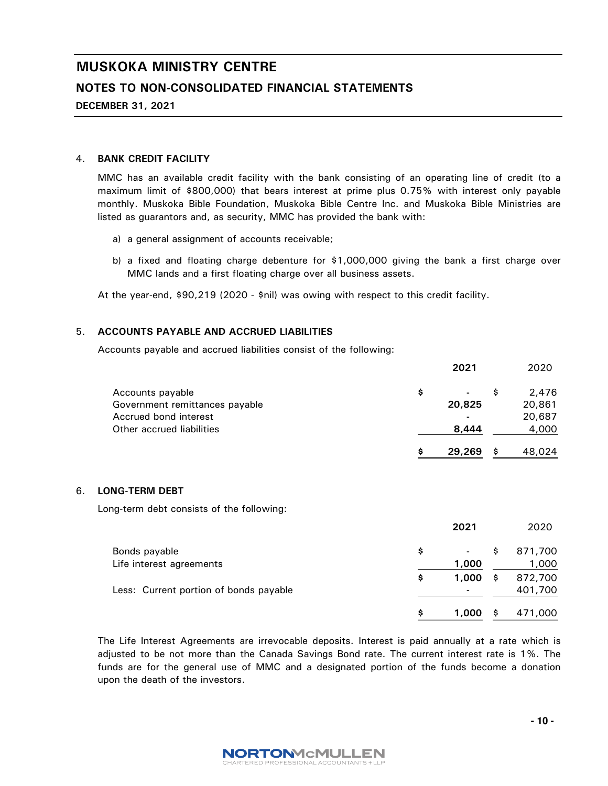### NOTES TO NON-CONSOLIDATED FINANCIAL STATEMENTS

DECEMBER 31, 2021

#### 4. BANK CREDIT FACILITY

MMC has an available credit facility with the bank consisting of an operating line of credit (to a maximum limit of \$800,000) that bears interest at prime plus 0.75% with interest only payable monthly. Muskoka Bible Foundation, Muskoka Bible Centre Inc. and Muskoka Bible Ministries are listed as guarantors and, as security, MMC has provided the bank with:

- a) a general assignment of accounts receivable;
- b) a fixed and floating charge debenture for \$1,000,000 giving the bank a first charge over MMC lands and a first floating charge over all business assets.

At the year-end, \$90,219 (2020 - \$nil) was owing with respect to this credit facility.

#### 5. ACCOUNTS PAYABLE AND ACCRUED LIABILITIES

Accounts payable and accrued liabilities consist of the following:

|                             |                                           | 2021         |     | 2020    |
|-----------------------------|-------------------------------------------|--------------|-----|---------|
|                             | Accounts payable                          | \$           | \$  | 2,476   |
|                             | Government remittances payable            | 20,825       |     | 20,861  |
|                             | Accrued bond interest                     |              |     | 20,687  |
|                             | Other accrued liabilities                 | 8,444        |     | 4,000   |
|                             |                                           | \$<br>29,269 | \$  | 48,024  |
| <b>LONG-TERM DEBT</b><br>6. | Long-term debt consists of the following: |              |     |         |
|                             |                                           | 2021         |     | 2020    |
| Bonds payable               |                                           | \$           | \$  | 871,700 |
|                             | Life interest agreements                  | 1,000        |     | 1,000   |
|                             |                                           | \$<br>1,000  | \$. | 872,700 |
|                             | Less: Current portion of bonds payable    |              |     | 401,700 |
|                             |                                           | \$<br>1,000  | \$  | 471,000 |

The Life Interest Agreements are irrevocable deposits. Interest is paid annually at a rate which is adjusted to be not more than the Canada Savings Bond rate. The current interest rate is 1%. The funds are for the general use of MMC and a designated portion of the funds become a donation upon the death of the investors.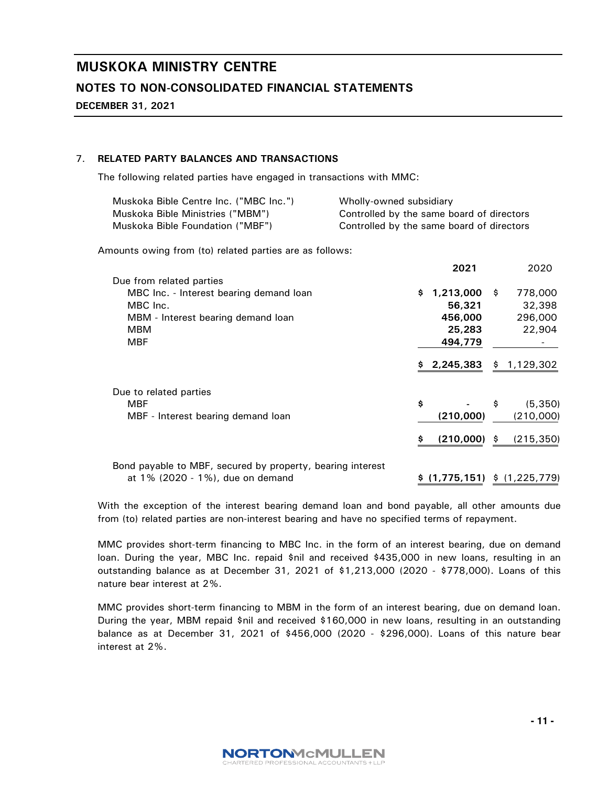### NOTES TO NON-CONSOLIDATED FINANCIAL STATEMENTS

DECEMBER 31, 2021

### 7. RELATED PARTY BALANCES AND TRANSACTIONS

The following related parties have engaged in transactions with MMC:

| Muskoka Bible Centre Inc. ("MBC Inc.") | Wholly-owned subsidiary                   |
|----------------------------------------|-------------------------------------------|
| Muskoka Bible Ministries ("MBM")       | Controlled by the same board of directors |
| Muskoka Bible Foundation ("MBF")       | Controlled by the same board of directors |

Amounts owing from (to) related parties are as follows:

|                                                            | 2021                        |      | 2020        |
|------------------------------------------------------------|-----------------------------|------|-------------|
| Due from related parties                                   |                             |      |             |
| MBC Inc. - Interest bearing demand loan                    | \$<br>1,213,000             | - \$ | 778,000     |
| MBC Inc.                                                   | 56,321                      |      | 32,398      |
| MBM - Interest bearing demand loan                         | 456,000                     |      | 296,000     |
| <b>MBM</b>                                                 | 25,283                      |      | 22,904      |
| <b>MBF</b>                                                 | 494,779                     |      |             |
|                                                            | \$2,245,383                 |      | \$1,129,302 |
| Due to related parties                                     |                             |      |             |
| <b>MBF</b>                                                 | \$                          | \$   | (5, 350)    |
| MBF - Interest bearing demand loan                         | (210,000)                   |      | (210,000)   |
|                                                            | \$<br>$(210,000)$ \$        |      | (215, 350)  |
| Bond payable to MBF, secured by property, bearing interest |                             |      |             |
| at 1% (2020 - 1%), due on demand                           | \$(1,775,151) \$(1,225,779) |      |             |

With the exception of the interest bearing demand loan and bond payable, all other amounts due from (to) related parties are non-interest bearing and have no specified terms of repayment.

MMC provides short-term financing to MBC Inc. in the form of an interest bearing, due on demand loan. During the year, MBC Inc. repaid \$nil and received \$435,000 in new loans, resulting in an outstanding balance as at December 31, 2021 of \$1,213,000 (2020 - \$778,000). Loans of this nature bear interest at 2%.

MMC provides short-term financing to MBM in the form of an interest bearing, due on demand loan. During the year, MBM repaid \$nil and received \$160,000 in new loans, resulting in an outstanding balance as at December 31, 2021 of \$456,000 (2020 - \$296,000). Loans of this nature bear interest at 2%.

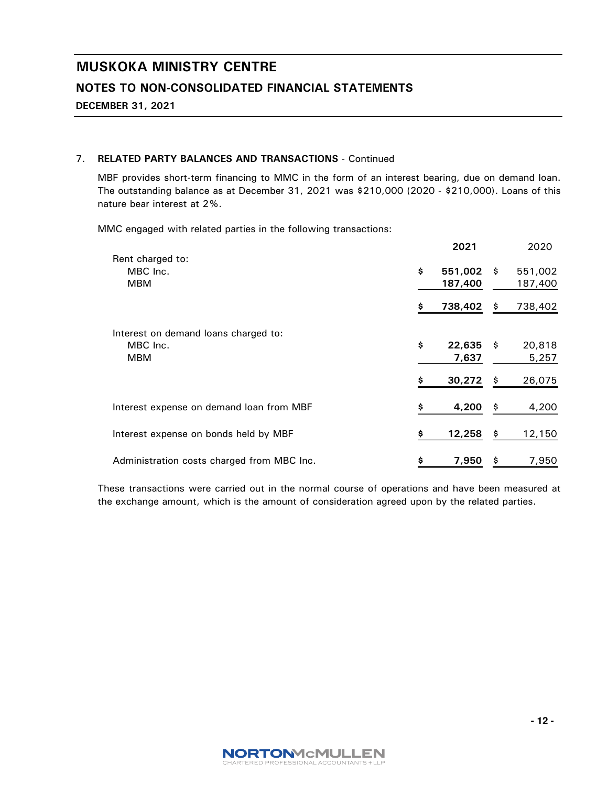### NOTES TO NON-CONSOLIDATED FINANCIAL STATEMENTS

DECEMBER 31, 2021

#### 7. RELATED PARTY BALANCES AND TRANSACTIONS - Continued

MBF provides short-term financing to MMC in the form of an interest bearing, due on demand loan. The outstanding balance as at December 31, 2021 was \$210,000 (2020 - \$210,000). Loans of this nature bear interest at 2%.

MMC engaged with related parties in the following transactions:

|                                            | 2021                     |      | 2020               |
|--------------------------------------------|--------------------------|------|--------------------|
| Rent charged to:<br>MBC Inc.<br><b>MBM</b> | \$<br>551,002<br>187,400 | - \$ | 551,002<br>187,400 |
|                                            | 738,402                  | \$   | 738,402            |
| Interest on demand loans charged to:       |                          |      |                    |
| MBC Inc.                                   | \$<br>22,635             | - \$ | 20,818             |
| <b>MBM</b>                                 | 7,637                    |      | 5,257              |
|                                            | 30,272                   | - \$ | 26,075             |
| Interest expense on demand loan from MBF   | \$<br>4,200              | \$   | 4,200              |
| Interest expense on bonds held by MBF      | 12,258                   | \$   | 12,150             |
| Administration costs charged from MBC Inc. | 7,950                    | \$   | 7,950              |

These transactions were carried out in the normal course of operations and have been measured at the exchange amount, which is the amount of consideration agreed upon by the related parties.